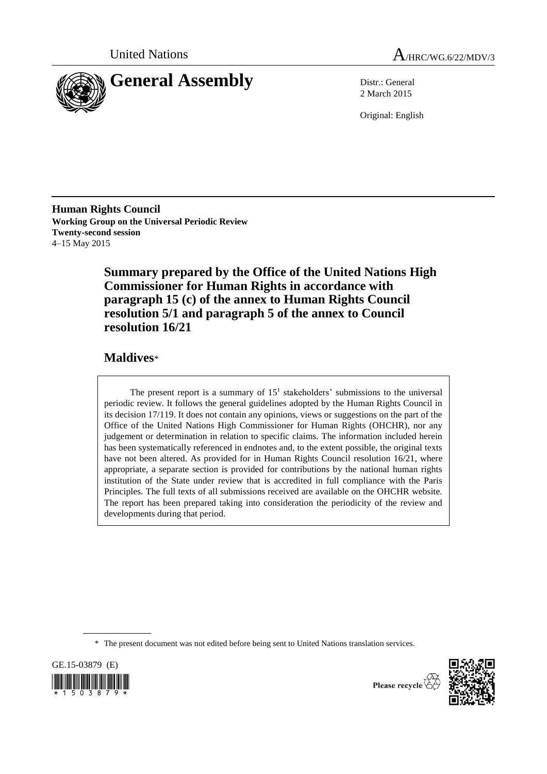



2 March 2015

Original: English

**Human Rights Council Working Group on the Universal Periodic Review Twenty-second session** 4–15 May 2015

> **Summary prepared by the Office of the United Nations High Commissioner for Human Rights in accordance with paragraph 15 (c) of the annex to Human Rights Council resolution 5/1 and paragraph 5 of the annex to Council resolution 16/21**

# **Maldives**\*

The present report is a summary of  $15<sup>1</sup>$  stakeholders' submissions to the universal periodic review. It follows the general guidelines adopted by the Human Rights Council in its decision 17/119. It does not contain any opinions, views or suggestions on the part of the Office of the United Nations High Commissioner for Human Rights (OHCHR), nor any judgement or determination in relation to specific claims. The information included herein has been systematically referenced in endnotes and, to the extent possible, the original texts have not been altered. As provided for in Human Rights Council resolution 16/21, where appropriate, a separate section is provided for contributions by the national human rights institution of the State under review that is accredited in full compliance with the Paris Principles. The full texts of all submissions received are available on the OHCHR website. The report has been prepared taking into consideration the periodicity of the review and developments during that period.

\* The present document was not edited before being sent to United Nations translation services.

GE.15-03879 (E)  $\frac{1}{2}$  ,  $\frac{1}{2}$  ,  $\frac{1}{2}$  ,  $\frac{1}{2}$  ,  $\frac{1}{2}$  ,  $\frac{1}{2}$  ,  $\frac{1}{2}$  ,  $\frac{1}{2}$ 



Please recycle  $\overline{\hat{X}}$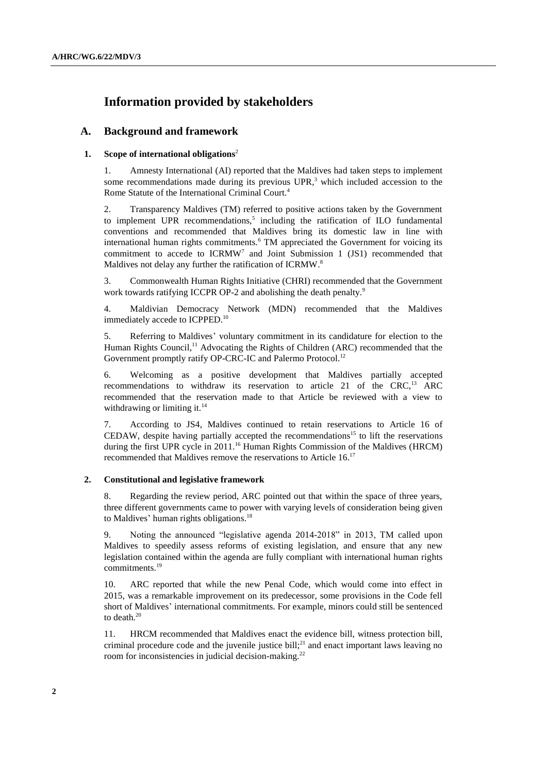# **Information provided by stakeholders**

# **A. Background and framework**

# **1. Scope of international obligations**<sup>2</sup>

1. Amnesty International (AI) reported that the Maldives had taken steps to implement some recommendations made during its previous  $UPR$ ,<sup>3</sup> which included accession to the Rome Statute of the International Criminal Court.<sup>4</sup>

2. Transparency Maldives (TM) referred to positive actions taken by the Government to implement UPR recommendations,<sup>5</sup> including the ratification of ILO fundamental conventions and recommended that Maldives bring its domestic law in line with international human rights commitments.<sup>6</sup> TM appreciated the Government for voicing its commitment to accede to  $ICRMW<sup>7</sup>$  and Joint Submission 1 (JS1) recommended that Maldives not delay any further the ratification of ICRMW.<sup>8</sup>

3. Commonwealth Human Rights Initiative (CHRI) recommended that the Government work towards ratifying ICCPR OP-2 and abolishing the death penalty.<sup>9</sup>

4. Maldivian Democracy Network (MDN) recommended that the Maldives immediately accede to ICPPED.<sup>10</sup>

5. Referring to Maldives' voluntary commitment in its candidature for election to the Human Rights Council,<sup>11</sup> Advocating the Rights of Children (ARC) recommended that the Government promptly ratify OP-CRC-IC and Palermo Protocol.<sup>12</sup>

6. Welcoming as a positive development that Maldives partially accepted recommendations to withdraw its reservation to article 21 of the CRC,<sup>13</sup> ARC recommended that the reservation made to that Article be reviewed with a view to withdrawing or limiting it. $14$ 

7. According to JS4, Maldives continued to retain reservations to Article 16 of CEDAW, despite having partially accepted the recommendations <sup>15</sup> to lift the reservations during the first UPR cycle in  $2011$ .<sup>16</sup> Human Rights Commission of the Maldives (HRCM) recommended that Maldives remove the reservations to Article 16.<sup>17</sup>

#### **2. Constitutional and legislative framework**

8. Regarding the review period, ARC pointed out that within the space of three years, three different governments came to power with varying levels of consideration being given to Maldives' human rights obligations.<sup>18</sup>

9. Noting the announced "legislative agenda 2014-2018" in 2013, TM called upon Maldives to speedily assess reforms of existing legislation, and ensure that any new legislation contained within the agenda are fully compliant with international human rights commitments.<sup>19</sup>

10. ARC reported that while the new Penal Code, which would come into effect in 2015, was a remarkable improvement on its predecessor, some provisions in the Code fell short of Maldives' international commitments. For example, minors could still be sentenced to death. 20

11. HRCM recommended that Maldives enact the evidence bill, witness protection bill, criminal procedure code and the juvenile justice bill; <sup>21</sup> and enact important laws leaving no room for inconsistencies in judicial decision-making.<sup>22</sup>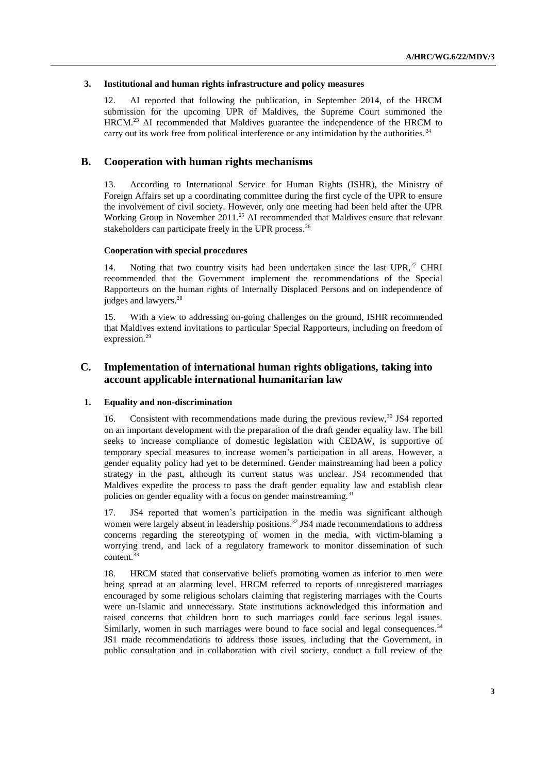# **3. Institutional and human rights infrastructure and policy measures**

12. AI reported that following the publication, in September 2014, of the HRCM submission for the upcoming UPR of Maldives, the Supreme Court summoned the HRCM.<sup>23</sup> AI recommended that Maldives guarantee the independence of the HRCM to carry out its work free from political interference or any intimidation by the authorities.<sup>24</sup>

# **B. Cooperation with human rights mechanisms**

13. According to International Service for Human Rights (ISHR), the Ministry of Foreign Affairs set up a coordinating committee during the first cycle of the UPR to ensure the involvement of civil society. However, only one meeting had been held after the UPR Working Group in November 2011.<sup>25</sup> AI recommended that Maldives ensure that relevant stakeholders can participate freely in the UPR process.<sup>26</sup>

# **Cooperation with special procedures**

14. Noting that two country visits had been undertaken since the last UPR, $^{27}$  CHRI recommended that the Government implement the recommendations of the Special Rapporteurs on the human rights of Internally Displaced Persons and on independence of judges and lawyers. 28

15. With a view to addressing on-going challenges on the ground, ISHR recommended that Maldives extend invitations to particular Special Rapporteurs, including on freedom of expression.<sup>29</sup>

# **C. Implementation of international human rights obligations, taking into account applicable international humanitarian law**

#### **1. Equality and non-discrimination**

16. Consistent with recommendations made during the previous review, $30 \text{ JS4}$  reported on an important development with the preparation of the draft gender equality law. The bill seeks to increase compliance of domestic legislation with CEDAW, is supportive of temporary special measures to increase women's participation in all areas. However, a gender equality policy had yet to be determined. Gender mainstreaming had been a policy strategy in the past, although its current status was unclear. JS4 recommended that Maldives expedite the process to pass the draft gender equality law and establish clear policies on gender equality with a focus on gender mainstreaming.<sup>31</sup>

17. JS4 reported that women's participation in the media was significant although women were largely absent in leadership positions.<sup>32</sup> JS4 made recommendations to address concerns regarding the stereotyping of women in the media, with victim-blaming a worrying trend, and lack of a regulatory framework to monitor dissemination of such content.<sup>33</sup>

18. HRCM stated that conservative beliefs promoting women as inferior to men were being spread at an alarming level. HRCM referred to reports of unregistered marriages encouraged by some religious scholars claiming that registering marriages with the Courts were un-Islamic and unnecessary. State institutions acknowledged this information and raised concerns that children born to such marriages could face serious legal issues. Similarly, women in such marriages were bound to face social and legal consequences.<sup>34</sup> JS1 made recommendations to address those issues, including that the Government, in public consultation and in collaboration with civil society, conduct a full review of the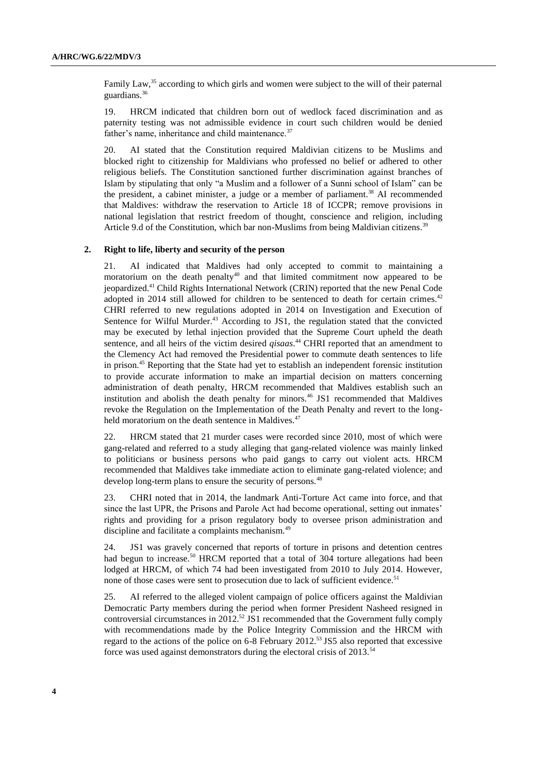Family Law,<sup>35</sup> according to which girls and women were subject to the will of their paternal guardians.<sup>36</sup>

19. HRCM indicated that children born out of wedlock faced discrimination and as paternity testing was not admissible evidence in court such children would be denied father's name, inheritance and child maintenance.<sup>37</sup>

20. AI stated that the Constitution required Maldivian citizens to be Muslims and blocked right to citizenship for Maldivians who professed no belief or adhered to other religious beliefs. The Constitution sanctioned further discrimination against branches of Islam by stipulating that only "a Muslim and a follower of a Sunni school of Islam" can be the president, a cabinet minister, a judge or a member of parliament.<sup>38</sup> AI recommended that Maldives: withdraw the reservation to Article 18 of ICCPR; remove provisions in national legislation that restrict freedom of thought, conscience and religion, including Article 9.d of the Constitution, which bar non-Muslims from being Maldivian citizens.<sup>39</sup>

#### **2. Right to life, liberty and security of the person**

21. AI indicated that Maldives had only accepted to commit to maintaining a moratorium on the death penalty<sup>40</sup> and that limited commitment now appeared to be jeopardized. <sup>41</sup> Child Rights International Network (CRIN) reported that the new Penal Code adopted in 2014 still allowed for children to be sentenced to death for certain crimes.<sup>42</sup> CHRI referred to new regulations adopted in 2014 on Investigation and Execution of Sentence for Wilful Murder.<sup>43</sup> According to JS1, the regulation stated that the convicted may be executed by lethal injection provided that the Supreme Court upheld the death sentence, and all heirs of the victim desired *qisaas*. <sup>44</sup> CHRI reported that an amendment to the Clemency Act had removed the Presidential power to commute death sentences to life in prison.<sup>45</sup> Reporting that the State had yet to establish an independent forensic institution to provide accurate information to make an impartial decision on matters concerning administration of death penalty, HRCM recommended that Maldives establish such an institution and abolish the death penalty for minors.<sup>46</sup> JS1 recommended that Maldives revoke the Regulation on the Implementation of the Death Penalty and revert to the longheld moratorium on the death sentence in Maldives.<sup>47</sup>

22. HRCM stated that 21 murder cases were recorded since 2010, most of which were gang-related and referred to a study alleging that gang-related violence was mainly linked to politicians or business persons who paid gangs to carry out violent acts. HRCM recommended that Maldives take immediate action to eliminate gang-related violence; and develop long-term plans to ensure the security of persons.<sup>48</sup>

23. CHRI noted that in 2014, the landmark Anti-Torture Act came into force, and that since the last UPR, the Prisons and Parole Act had become operational, setting out inmates' rights and providing for a prison regulatory body to oversee prison administration and discipline and facilitate a complaints mechanism.<sup>49</sup>

24. JS1 was gravely concerned that reports of torture in prisons and detention centres had begun to increase.<sup>50</sup> HRCM reported that a total of 304 torture allegations had been lodged at HRCM, of which 74 had been investigated from 2010 to July 2014. However, none of those cases were sent to prosecution due to lack of sufficient evidence.<sup>51</sup>

25. AI referred to the alleged violent campaign of police officers against the Maldivian Democratic Party members during the period when former President Nasheed resigned in controversial circumstances in 2012. <sup>52</sup> JS1 recommended that the Government fully comply with recommendations made by the Police Integrity Commission and the HRCM with regard to the actions of the police on 6-8 February 2012.<sup>53</sup> JS5 also reported that excessive force was used against demonstrators during the electoral crisis of 2013.<sup>54</sup>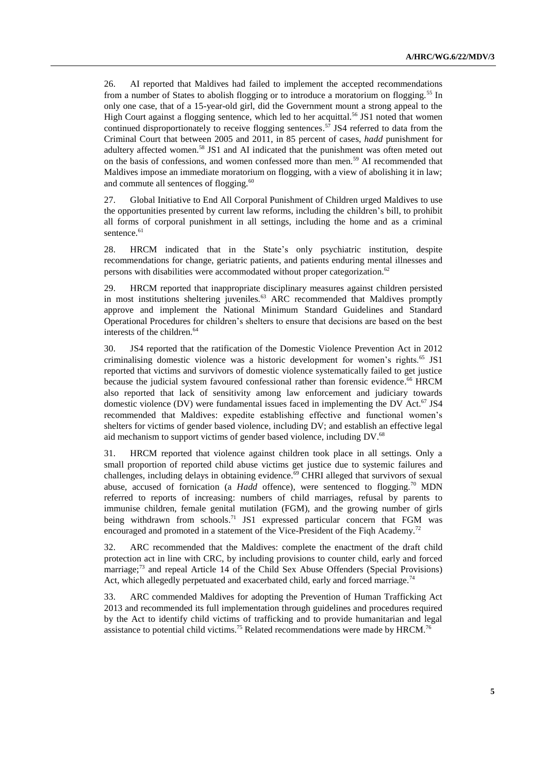26. AI reported that Maldives had failed to implement the accepted recommendations from a number of States to abolish flogging or to introduce a moratorium on flogging.<sup>55</sup> In only one case, that of a 15-year-old girl, did the Government mount a strong appeal to the High Court against a flogging sentence, which led to her acquittal.<sup>56</sup> JS1 noted that women continued disproportionately to receive flogging sentences. <sup>57</sup> JS4 referred to data from the Criminal Court that between 2005 and 2011, in 85 percent of cases, *hadd* punishment for adultery affected women.<sup>58</sup> JS1 and AI indicated that the punishment was often meted out on the basis of confessions, and women confessed more than men.<sup>59</sup> AI recommended that Maldives impose an immediate moratorium on flogging, with a view of abolishing it in law; and commute all sentences of flogging.<sup>60</sup>

27. Global Initiative to End All Corporal Punishment of Children urged Maldives to use the opportunities presented by current law reforms, including the children's bill, to prohibit all forms of corporal punishment in all settings, including the home and as a criminal sentence.<sup>61</sup>

28. HRCM indicated that in the State's only psychiatric institution, despite recommendations for change, geriatric patients, and patients enduring mental illnesses and persons with disabilities were accommodated without proper categorization.<sup>62</sup>

29. HRCM reported that inappropriate disciplinary measures against children persisted in most institutions sheltering juveniles.<sup>63</sup> ARC recommended that Maldives promptly approve and implement the National Minimum Standard Guidelines and Standard Operational Procedures for children's shelters to ensure that decisions are based on the best interests of the children.<sup>64</sup>

30. JS4 reported that the ratification of the Domestic Violence Prevention Act in 2012 criminalising domestic violence was a historic development for women's rights.<sup>65</sup> JS1 reported that victims and survivors of domestic violence systematically failed to get justice because the judicial system favoured confessional rather than forensic evidence.<sup>66</sup> HRCM also reported that lack of sensitivity among law enforcement and judiciary towards domestic violence (DV) were fundamental issues faced in implementing the DV Act. $67$  JS4 recommended that Maldives: expedite establishing effective and functional women's shelters for victims of gender based violence, including DV; and establish an effective legal aid mechanism to support victims of gender based violence, including DV.<sup>68</sup>

31. HRCM reported that violence against children took place in all settings. Only a small proportion of reported child abuse victims get justice due to systemic failures and challenges, including delays in obtaining evidence. <sup>69</sup> CHRI alleged that survivors of sexual abuse, accused of fornication (a *Hadd* offence), were sentenced to flogging.<sup>70</sup> MDN referred to reports of increasing: numbers of child marriages, refusal by parents to immunise children, female genital mutilation (FGM), and the growing number of girls being withdrawn from schools.<sup>71</sup> JS1 expressed particular concern that FGM was encouraged and promoted in a statement of the Vice-President of the Fiqh Academy.<sup>72</sup>

32. ARC recommended that the Maldives: complete the enactment of the draft child protection act in line with CRC, by including provisions to counter child, early and forced marriage; <sup>73</sup> and repeal Article 14 of the Child Sex Abuse Offenders (Special Provisions) Act, which allegedly perpetuated and exacerbated child, early and forced marriage.<sup>74</sup>

33. ARC commended Maldives for adopting the Prevention of Human Trafficking Act 2013 and recommended its full implementation through guidelines and procedures required by the Act to identify child victims of trafficking and to provide humanitarian and legal assistance to potential child victims.<sup>75</sup> Related recommendations were made by HRCM.<sup>76</sup>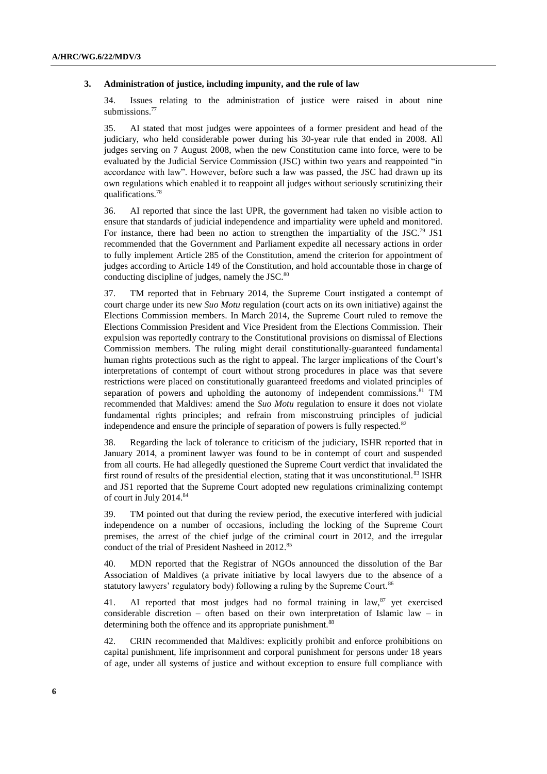#### **3. Administration of justice, including impunity, and the rule of law**

34. Issues relating to the administration of justice were raised in about nine submissions. 77

35. AI stated that most judges were appointees of a former president and head of the judiciary, who held considerable power during his 30-year rule that ended in 2008. All judges serving on 7 August 2008, when the new Constitution came into force, were to be evaluated by the Judicial Service Commission (JSC) within two years and reappointed "in accordance with law". However, before such a law was passed, the JSC had drawn up its own regulations which enabled it to reappoint all judges without seriously scrutinizing their qualifications.<sup>78</sup>

36. AI reported that since the last UPR, the government had taken no visible action to ensure that standards of judicial independence and impartiality were upheld and monitored. For instance, there had been no action to strengthen the impartiality of the JSC.<sup>79</sup> JS1 recommended that the Government and Parliament expedite all necessary actions in order to fully implement Article 285 of the Constitution, amend the criterion for appointment of judges according to Article 149 of the Constitution, and hold accountable those in charge of conducting discipline of judges, namely the JSC.<sup>80</sup>

37. TM reported that in February 2014, the Supreme Court instigated a contempt of court charge under its new *Suo Motu* regulation (court acts on its own initiative) against the Elections Commission members. In March 2014, the Supreme Court ruled to remove the Elections Commission President and Vice President from the Elections Commission. Their expulsion was reportedly contrary to the Constitutional provisions on dismissal of Elections Commission members. The ruling might derail constitutionally-guaranteed fundamental human rights protections such as the right to appeal. The larger implications of the Court's interpretations of contempt of court without strong procedures in place was that severe restrictions were placed on constitutionally guaranteed freedoms and violated principles of separation of powers and upholding the autonomy of independent commissions.<sup>81</sup> TM recommended that Maldives: amend the *Suo Motu* regulation to ensure it does not violate fundamental rights principles; and refrain from misconstruing principles of judicial independence and ensure the principle of separation of powers is fully respected. $82$ 

38. Regarding the lack of tolerance to criticism of the judiciary, ISHR reported that in January 2014, a prominent lawyer was found to be in contempt of court and suspended from all courts. He had allegedly questioned the Supreme Court verdict that invalidated the first round of results of the presidential election, stating that it was unconstitutional.<sup>83</sup> ISHR and JS1 reported that the Supreme Court adopted new regulations criminalizing contempt of court in July 2014.<sup>84</sup>

39. TM pointed out that during the review period, the executive interfered with judicial independence on a number of occasions, including the locking of the Supreme Court premises, the arrest of the chief judge of the criminal court in 2012, and the irregular conduct of the trial of President Nasheed in 2012. 85

40. MDN reported that the Registrar of NGOs announced the dissolution of the Bar Association of Maldives (a private initiative by local lawyers due to the absence of a statutory lawyers' regulatory body) following a ruling by the Supreme Court.<sup>86</sup>

41. AI reported that most judges had no formal training in law, <sup>87</sup> yet exercised considerable discretion – often based on their own interpretation of Islamic law – in determining both the offence and its appropriate punishment.<sup>88</sup>

42. CRIN recommended that Maldives: explicitly prohibit and enforce prohibitions on capital punishment, life imprisonment and corporal punishment for persons under 18 years of age, under all systems of justice and without exception to ensure full compliance with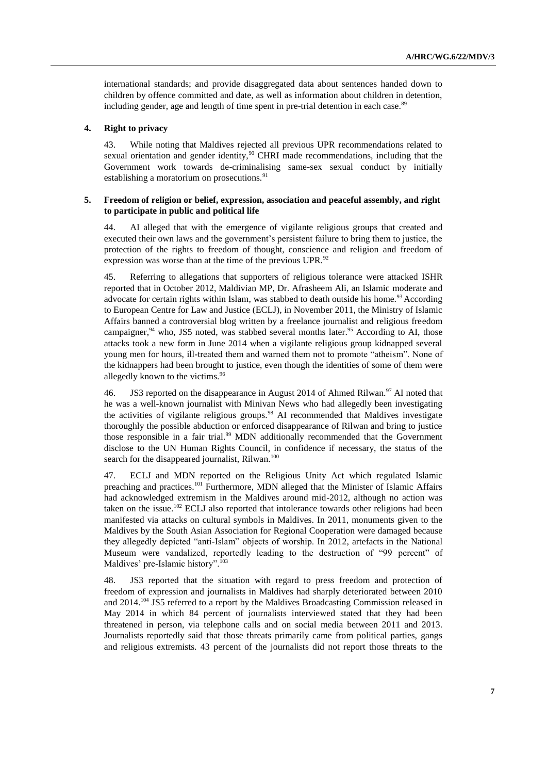international standards; and provide disaggregated data about sentences handed down to children by offence committed and date, as well as information about children in detention, including gender, age and length of time spent in pre-trial detention in each case.<sup>89</sup>

#### **4. Right to privacy**

43. While noting that Maldives rejected all previous UPR recommendations related to sexual orientation and gender identity,<sup>90</sup> CHRI made recommendations, including that the Government work towards de-criminalising same-sex sexual conduct by initially establishing a moratorium on prosecutions.<sup>91</sup>

# **5. Freedom of religion or belief, expression, association and peaceful assembly, and right to participate in public and political life**

44. AI alleged that with the emergence of vigilante religious groups that created and executed their own laws and the government's persistent failure to bring them to justice, the protection of the rights to freedom of thought, conscience and religion and freedom of expression was worse than at the time of the previous UPR.<sup>92</sup>

45. Referring to allegations that supporters of religious tolerance were attacked ISHR reported that in October 2012, Maldivian MP, Dr. Afrasheem Ali, an Islamic moderate and advocate for certain rights within Islam, was stabbed to death outside his home.<sup>93</sup> According to European Centre for Law and Justice (ECLJ), in November 2011, the Ministry of Islamic Affairs banned a controversial blog written by a freelance journalist and religious freedom campaigner,<sup>94</sup> who, JS5 noted, was stabbed several months later.<sup>95</sup> According to AI, those attacks took a new form in June 2014 when a vigilante religious group kidnapped several young men for hours, ill-treated them and warned them not to promote "atheism". None of the kidnappers had been brought to justice, even though the identities of some of them were allegedly known to the victims.<sup>96</sup>

46. JS3 reported on the disappearance in August 2014 of Ahmed Rilwan.<sup>97</sup> AI noted that he was a well-known journalist with Minivan News who had allegedly been investigating the activities of vigilante religious groups.<sup>98</sup> AI recommended that Maldives investigate thoroughly the possible abduction or enforced disappearance of Rilwan and bring to justice those responsible in a fair trial.<sup>99</sup> MDN additionally recommended that the Government disclose to the UN Human Rights Council, in confidence if necessary, the status of the search for the disappeared journalist, Rilwan.<sup>100</sup>

47. ECLJ and MDN reported on the Religious Unity Act which regulated Islamic preaching and practices.<sup>101</sup> Furthermore, MDN alleged that the Minister of Islamic Affairs had acknowledged extremism in the Maldives around mid-2012, although no action was taken on the issue.<sup>102</sup> ECLJ also reported that intolerance towards other religions had been manifested via attacks on cultural symbols in Maldives. In 2011, monuments given to the Maldives by the South Asian Association for Regional Cooperation were damaged because they allegedly depicted "anti-Islam" objects of worship. In 2012, artefacts in the National Museum were vandalized, reportedly leading to the destruction of "99 percent" of Maldives' pre-Islamic history".<sup>103</sup>

48. JS3 reported that the situation with regard to press freedom and protection of freedom of expression and journalists in Maldives had sharply deteriorated between 2010 and 2014.<sup>104</sup> JS5 referred to a report by the Maldives Broadcasting Commission released in May 2014 in which 84 percent of journalists interviewed stated that they had been threatened in person, via telephone calls and on social media between 2011 and 2013. Journalists reportedly said that those threats primarily came from political parties, gangs and religious extremists. 43 percent of the journalists did not report those threats to the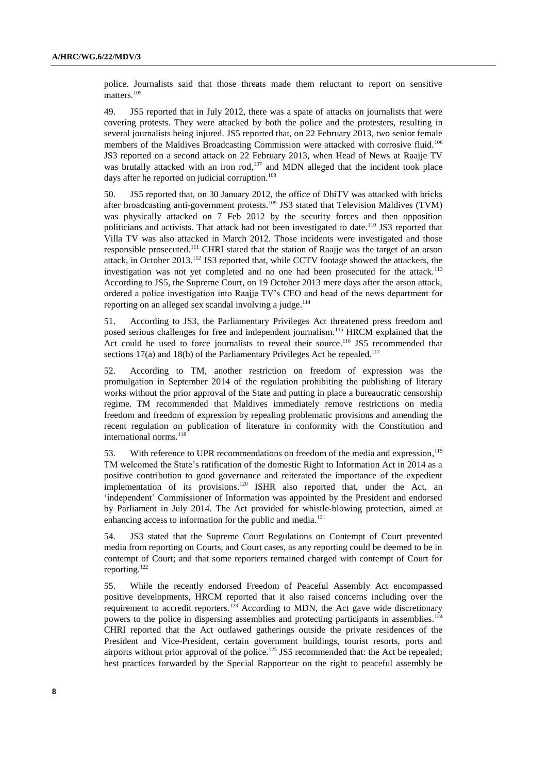police. Journalists said that those threats made them reluctant to report on sensitive matters.<sup>105</sup>

49. JS5 reported that in July 2012, there was a spate of attacks on journalists that were covering protests. They were attacked by both the police and the protesters, resulting in several journalists being injured. JS5 reported that, on 22 February 2013, two senior female members of the Maldives Broadcasting Commission were attacked with corrosive fluid.<sup>106</sup> JS3 reported on a second attack on 22 February 2013, when Head of News at Raajje TV was brutally attacked with an iron  $rod<sub>1</sub><sup>107</sup>$  and MDN alleged that the incident took place days after he reported on judicial corruption.<sup>108</sup>

50. JS5 reported that, on 30 January 2012, the office of DhiTV was attacked with bricks after broadcasting anti-government protests.<sup>109</sup> JS3 stated that Television Maldives (TVM) was physically attacked on 7 Feb 2012 by the security forces and then opposition politicians and activists. That attack had not been investigated to date.<sup>110</sup> JS3 reported that Villa TV was also attacked in March 2012. Those incidents were investigated and those responsible prosecuted.<sup>111</sup> CHRI stated that the station of Raajje was the target of an arson attack, in October 2013.<sup>112</sup> JS3 reported that, while CCTV footage showed the attackers, the investigation was not yet completed and no one had been prosecuted for the attack.<sup>113</sup> According to JS5, the Supreme Court, on 19 October 2013 mere days after the arson attack, ordered a police investigation into Raajje TV's CEO and head of the news department for reporting on an alleged sex scandal involving a judge. $114$ 

51. According to JS3, the Parliamentary Privileges Act threatened press freedom and posed serious challenges for free and independent journalism.<sup>115</sup> HRCM explained that the Act could be used to force journalists to reveal their source.<sup>116</sup> JS5 recommended that sections  $17(a)$  and  $18(b)$  of the Parliamentary Privileges Act be repealed.<sup>117</sup>

52. According to TM, another restriction on freedom of expression was the promulgation in September 2014 of the regulation prohibiting the publishing of literary works without the prior approval of the State and putting in place a bureaucratic censorship regime. TM recommended that Maldives immediately remove restrictions on media freedom and freedom of expression by repealing problematic provisions and amending the recent regulation on publication of literature in conformity with the Constitution and international norms.<sup>118</sup>

53. With reference to UPR recommendations on freedom of the media and expression,<sup>119</sup> TM welcomed the State's ratification of the domestic Right to Information Act in 2014 as a positive contribution to good governance and reiterated the importance of the expedient implementation of its provisions.<sup>120</sup> ISHR also reported that, under the Act, an 'independent' Commissioner of Information was appointed by the President and endorsed by Parliament in July 2014. The Act provided for whistle-blowing protection, aimed at enhancing access to information for the public and media.<sup>121</sup>

54. JS3 stated that the Supreme Court Regulations on Contempt of Court prevented media from reporting on Courts, and Court cases, as any reporting could be deemed to be in contempt of Court; and that some reporters remained charged with contempt of Court for reporting.<sup>122</sup>

55. While the recently endorsed Freedom of Peaceful Assembly Act encompassed positive developments, HRCM reported that it also raised concerns including over the requirement to accredit reporters.<sup>123</sup> According to MDN, the Act gave wide discretionary powers to the police in dispersing assemblies and protecting participants in assemblies.<sup>124</sup> CHRI reported that the Act outlawed gatherings outside the private residences of the President and Vice-President, certain government buildings, tourist resorts, ports and airports without prior approval of the police.<sup>125</sup> JS5 recommended that: the Act be repealed; best practices forwarded by the Special Rapporteur on the right to peaceful assembly be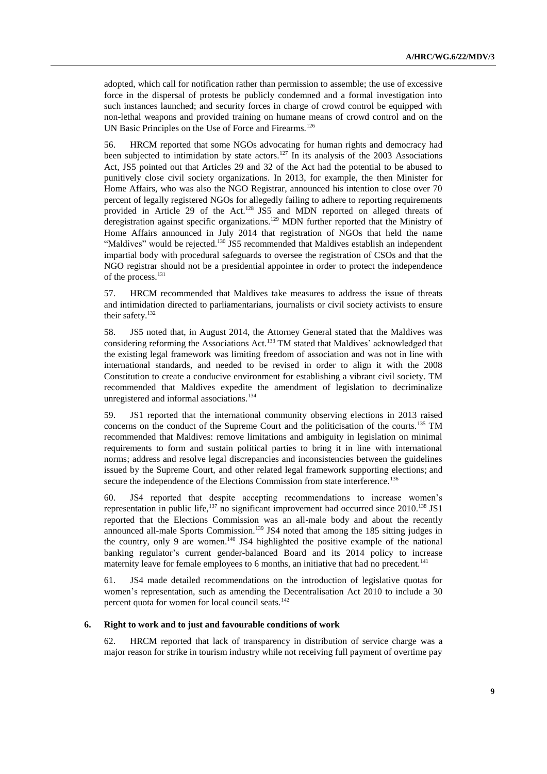adopted, which call for notification rather than permission to assemble; the use of excessive force in the dispersal of protests be publicly condemned and a formal investigation into such instances launched; and security forces in charge of crowd control be equipped with non-lethal weapons and provided training on humane means of crowd control and on the UN Basic Principles on the Use of Force and Firearms.<sup>126</sup>

56. HRCM reported that some NGOs advocating for human rights and democracy had been subjected to intimidation by state actors.<sup>127</sup> In its analysis of the 2003 Associations Act, JS5 pointed out that Articles 29 and 32 of the Act had the potential to be abused to punitively close civil society organizations. In 2013, for example, the then Minister for Home Affairs, who was also the NGO Registrar, announced his intention to close over 70 percent of legally registered NGOs for allegedly failing to adhere to reporting requirements provided in Article 29 of the Act.<sup>128</sup> JS5 and MDN reported on alleged threats of deregistration against specific organizations.<sup>129</sup> MDN further reported that the Ministry of Home Affairs announced in July 2014 that registration of NGOs that held the name "Maldives" would be rejected.<sup>130</sup> JS5 recommended that Maldives establish an independent impartial body with procedural safeguards to oversee the registration of CSOs and that the NGO registrar should not be a presidential appointee in order to protect the independence of the process.<sup>131</sup>

57. HRCM recommended that Maldives take measures to address the issue of threats and intimidation directed to parliamentarians, journalists or civil society activists to ensure their safety.<sup>132</sup>

58. JS5 noted that, in August 2014, the Attorney General stated that the Maldives was considering reforming the Associations Act.<sup>133</sup> TM stated that Maldives' acknowledged that the existing legal framework was limiting freedom of association and was not in line with international standards, and needed to be revised in order to align it with the 2008 Constitution to create a conducive environment for establishing a vibrant civil society. TM recommended that Maldives expedite the amendment of legislation to decriminalize unregistered and informal associations.<sup>134</sup>

59. JS1 reported that the international community observing elections in 2013 raised concerns on the conduct of the Supreme Court and the politicisation of the courts.<sup>135</sup> TM recommended that Maldives: remove limitations and ambiguity in legislation on minimal requirements to form and sustain political parties to bring it in line with international norms; address and resolve legal discrepancies and inconsistencies between the guidelines issued by the Supreme Court, and other related legal framework supporting elections; and secure the independence of the Elections Commission from state interference.<sup>136</sup>

60. JS4 reported that despite accepting recommendations to increase women's representation in public life, $137$  no significant improvement had occurred since 2010.<sup>138</sup> JS1 reported that the Elections Commission was an all-male body and about the recently announced all-male Sports Commission.<sup>139</sup> JS4 noted that among the 185 sitting judges in the country, only 9 are women. <sup>140</sup> JS4 highlighted the positive example of the national banking regulator's current gender-balanced Board and its 2014 policy to increase maternity leave for female employees to 6 months, an initiative that had no precedent.<sup>141</sup>

61. JS4 made detailed recommendations on the introduction of legislative quotas for women's representation, such as amending the Decentralisation Act 2010 to include a 30 percent quota for women for local council seats.<sup>142</sup>

## **6. Right to work and to just and favourable conditions of work**

62. HRCM reported that lack of transparency in distribution of service charge was a major reason for strike in tourism industry while not receiving full payment of overtime pay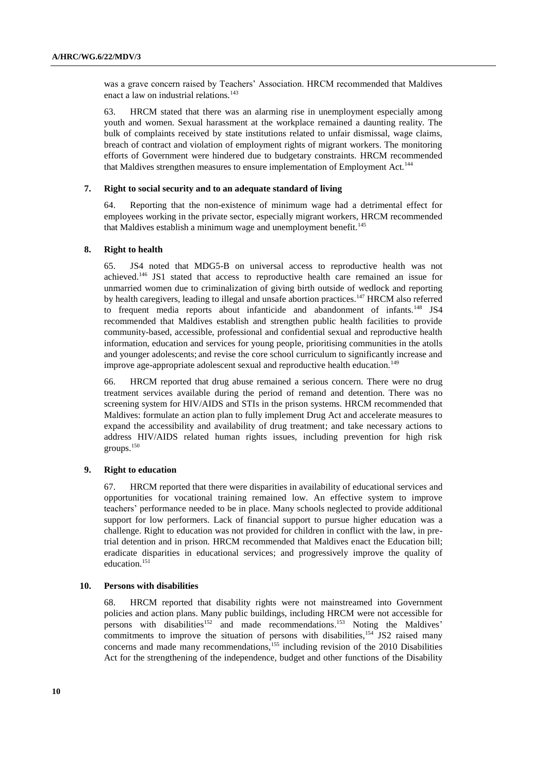was a grave concern raised by Teachers' Association. HRCM recommended that Maldives enact a law on industrial relations.<sup>143</sup>

63. HRCM stated that there was an alarming rise in unemployment especially among youth and women. Sexual harassment at the workplace remained a daunting reality. The bulk of complaints received by state institutions related to unfair dismissal, wage claims, breach of contract and violation of employment rights of migrant workers. The monitoring efforts of Government were hindered due to budgetary constraints. HRCM recommended that Maldives strengthen measures to ensure implementation of Employment Act.<sup>144</sup>

## **7. Right to social security and to an adequate standard of living**

64. Reporting that the non-existence of minimum wage had a detrimental effect for employees working in the private sector, especially migrant workers, HRCM recommended that Maldives establish a minimum wage and unemployment benefit.<sup>145</sup>

#### **8. Right to health**

65. JS4 noted that MDG5-B on universal access to reproductive health was not achieved.<sup>146</sup> JS1 stated that access to reproductive health care remained an issue for unmarried women due to criminalization of giving birth outside of wedlock and reporting by health caregivers, leading to illegal and unsafe abortion practices.<sup>147</sup> HRCM also referred to frequent media reports about infanticide and abandonment of infants.<sup>148</sup> JS4 recommended that Maldives establish and strengthen public health facilities to provide community-based, accessible, professional and confidential sexual and reproductive health information, education and services for young people, prioritising communities in the atolls and younger adolescents; and revise the core school curriculum to significantly increase and improve age-appropriate adolescent sexual and reproductive health education.<sup>149</sup>

66. HRCM reported that drug abuse remained a serious concern. There were no drug treatment services available during the period of remand and detention. There was no screening system for HIV/AIDS and STIs in the prison systems. HRCM recommended that Maldives: formulate an action plan to fully implement Drug Act and accelerate measures to expand the accessibility and availability of drug treatment; and take necessary actions to address HIV/AIDS related human rights issues, including prevention for high risk groups.<sup>150</sup>

# **9. Right to education**

67. HRCM reported that there were disparities in availability of educational services and opportunities for vocational training remained low. An effective system to improve teachers' performance needed to be in place. Many schools neglected to provide additional support for low performers. Lack of financial support to pursue higher education was a challenge. Right to education was not provided for children in conflict with the law, in pretrial detention and in prison. HRCM recommended that Maldives enact the Education bill; eradicate disparities in educational services; and progressively improve the quality of education.<sup>151</sup>

#### **10. Persons with disabilities**

68. HRCM reported that disability rights were not mainstreamed into Government policies and action plans. Many public buildings, including HRCM were not accessible for persons with disabilities<sup>152</sup> and made recommendations.<sup>153</sup> Noting the Maldives' commitments to improve the situation of persons with disabilities,<sup>154</sup> JS2 raised many concerns and made many recommendations,<sup>155</sup> including revision of the 2010 Disabilities Act for the strengthening of the independence, budget and other functions of the Disability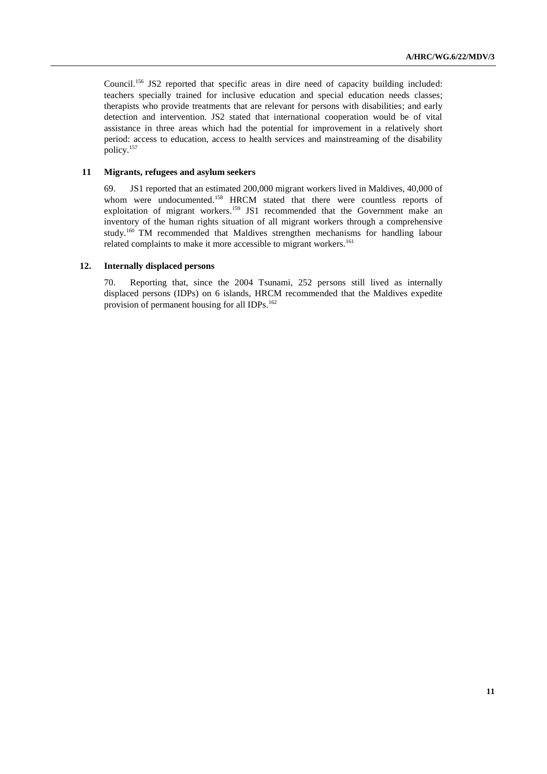Council. <sup>156</sup> JS2 reported that specific areas in dire need of capacity building included: teachers specially trained for inclusive education and special education needs classes; therapists who provide treatments that are relevant for persons with disabilities; and early detection and intervention. JS2 stated that international cooperation would be of vital assistance in three areas which had the potential for improvement in a relatively short period: access to education, access to health services and mainstreaming of the disability policy.<sup>157</sup>

## **11 Migrants, refugees and asylum seekers**

69. JS1 reported that an estimated 200,000 migrant workers lived in Maldives, 40,000 of whom were undocumented.<sup>158</sup> HRCM stated that there were countless reports of exploitation of migrant workers.<sup>159</sup> JS1 recommended that the Government make an inventory of the human rights situation of all migrant workers through a comprehensive study.<sup>160</sup> TM recommended that Maldives strengthen mechanisms for handling labour related complaints to make it more accessible to migrant workers.<sup>161</sup>

## **12. Internally displaced persons**

70. Reporting that, since the 2004 Tsunami, 252 persons still lived as internally displaced persons (IDPs) on 6 islands, HRCM recommended that the Maldives expedite provision of permanent housing for all IDPs.<sup>162</sup>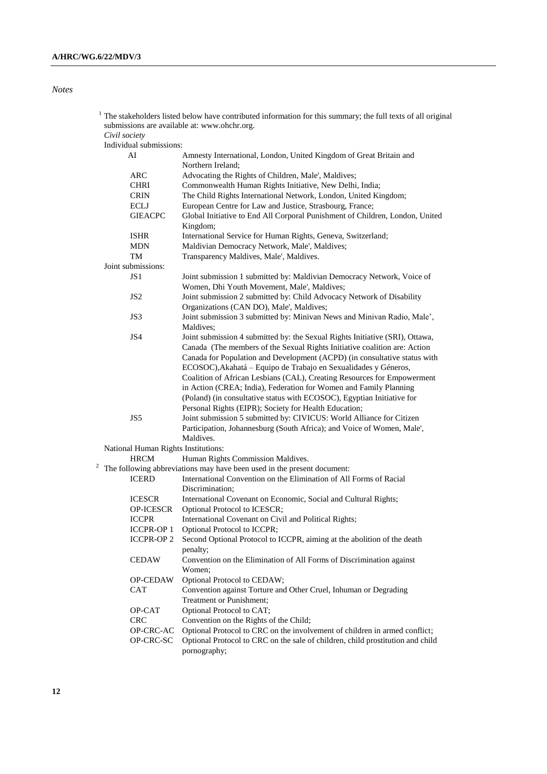# *Notes*

| 1 |                                     | The stakeholders listed below have contributed information for this summary; the full texts of all original<br>submissions are available at: www.ohchr.org. |
|---|-------------------------------------|-------------------------------------------------------------------------------------------------------------------------------------------------------------|
|   | Civil society                       |                                                                                                                                                             |
|   | Individual submissions:             |                                                                                                                                                             |
|   | AI                                  | Amnesty International, London, United Kingdom of Great Britain and<br>Northern Ireland;                                                                     |
|   | ARC                                 | Advocating the Rights of Children, Male', Maldives;                                                                                                         |
|   | <b>CHRI</b>                         | Commonwealth Human Rights Initiative, New Delhi, India;                                                                                                     |
|   | <b>CRIN</b>                         | The Child Rights International Network, London, United Kingdom;                                                                                             |
|   | <b>ECLJ</b>                         | European Centre for Law and Justice, Strasbourg, France;                                                                                                    |
|   | <b>GIEACPC</b>                      | Global Initiative to End All Corporal Punishment of Children, London, United                                                                                |
|   |                                     | Kingdom;                                                                                                                                                    |
|   | <b>ISHR</b>                         | International Service for Human Rights, Geneva, Switzerland;                                                                                                |
|   | <b>MDN</b>                          | Maldivian Democracy Network, Male', Maldives;                                                                                                               |
|   | TM                                  | Transparency Maldives, Male', Maldives.                                                                                                                     |
|   | Joint submissions:                  |                                                                                                                                                             |
|   | JS <sub>1</sub>                     | Joint submission 1 submitted by: Maldivian Democracy Network, Voice of<br>Women, Dhi Youth Movement, Male', Maldives;                                       |
|   | JS <sub>2</sub>                     | Joint submission 2 submitted by: Child Advocacy Network of Disability                                                                                       |
|   |                                     | Organizations (CAN DO), Male', Maldives;                                                                                                                    |
|   | JS3                                 | Joint submission 3 submitted by: Minivan News and Minivan Radio, Male',                                                                                     |
|   |                                     | Maldives:                                                                                                                                                   |
|   | JS4                                 | Joint submission 4 submitted by: the Sexual Rights Initiative (SRI), Ottawa,                                                                                |
|   |                                     | Canada (The members of the Sexual Rights Initiative coalition are: Action                                                                                   |
|   |                                     | Canada for Population and Development (ACPD) (in consultative status with                                                                                   |
|   |                                     | ECOSOC), Akahatá – Equipo de Trabajo en Sexualidades y Géneros,                                                                                             |
|   |                                     | Coalition of African Lesbians (CAL), Creating Resources for Empowerment                                                                                     |
|   |                                     | in Action (CREA; India), Federation for Women and Family Planning                                                                                           |
|   |                                     | (Poland) (in consultative status with ECOSOC), Egyptian Initiative for                                                                                      |
|   |                                     | Personal Rights (EIPR); Society for Health Education;                                                                                                       |
|   | JS5                                 | Joint submission 5 submitted by: CIVICUS: World Alliance for Citizen                                                                                        |
|   |                                     | Participation, Johannesburg (South Africa); and Voice of Women, Male',                                                                                      |
|   |                                     | Maldives.                                                                                                                                                   |
|   | National Human Rights Institutions: |                                                                                                                                                             |
|   | <b>HRCM</b>                         | Human Rights Commission Maldives.                                                                                                                           |
|   |                                     | The following abbreviations may have been used in the present document:                                                                                     |
|   | <b>ICERD</b>                        | International Convention on the Elimination of All Forms of Racial                                                                                          |
|   |                                     | Discrimination;                                                                                                                                             |
|   | <b>ICESCR</b>                       | International Covenant on Economic, Social and Cultural Rights;                                                                                             |
|   | <b>OP-ICESCR</b>                    | Optional Protocol to ICESCR;                                                                                                                                |
|   | <b>ICCPR</b>                        | International Covenant on Civil and Political Rights;                                                                                                       |
|   | <b>ICCPR-OP 1</b>                   | Optional Protocol to ICCPR;                                                                                                                                 |
|   | <b>ICCPR-OP2</b>                    | Second Optional Protocol to ICCPR, aiming at the abolition of the death                                                                                     |
|   |                                     |                                                                                                                                                             |
|   |                                     | penalty;                                                                                                                                                    |
|   | <b>CEDAW</b>                        | Convention on the Elimination of All Forms of Discrimination against<br>Women:                                                                              |
|   | OP-CEDAW                            | Optional Protocol to CEDAW;                                                                                                                                 |
|   | <b>CAT</b>                          | Convention against Torture and Other Cruel, Inhuman or Degrading                                                                                            |
|   |                                     | Treatment or Punishment;                                                                                                                                    |
|   | OP-CAT                              | Optional Protocol to CAT;                                                                                                                                   |
|   | <b>CRC</b>                          | Convention on the Rights of the Child;                                                                                                                      |
|   | OP-CRC-AC                           | Optional Protocol to CRC on the involvement of children in armed conflict;                                                                                  |
|   | OP-CRC-SC                           | Optional Protocol to CRC on the sale of children, child prostitution and child                                                                              |
|   |                                     | pornography;                                                                                                                                                |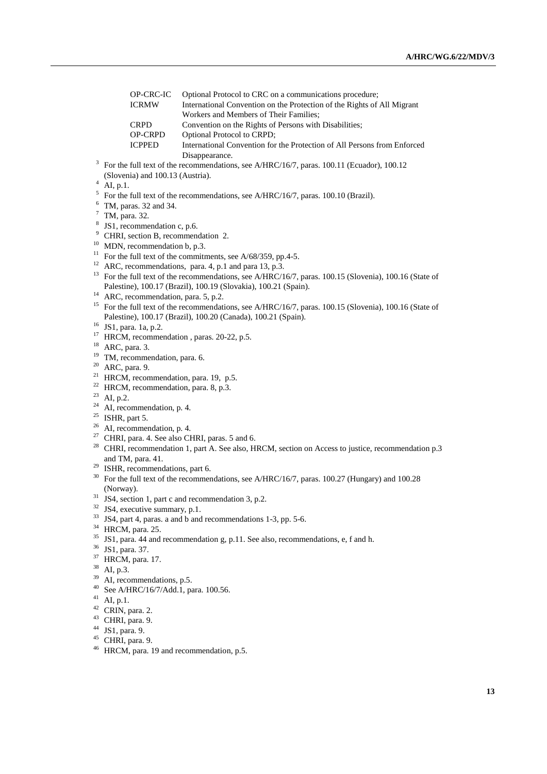| OP-CRC-IC      | Optional Protocol to CRC on a communications procedure;                  |
|----------------|--------------------------------------------------------------------------|
| <b>ICRMW</b>   | International Convention on the Protection of the Rights of All Migrant  |
|                | Workers and Members of Their Families:                                   |
| <b>CRPD</b>    | Convention on the Rights of Persons with Disabilities;                   |
| <b>OP-CRPD</b> | <b>Optional Protocol to CRPD;</b>                                        |
| <b>ICPPED</b>  | International Convention for the Protection of All Persons from Enforced |
|                | Disappearance.                                                           |

- <sup>3</sup> For the full text of the recommendations, see A/HRC/16/7, paras. 100.11 (Ecuador), 100.12 (Slovenia) and 100.13 (Austria).
- AI, p.1.
- $5$  For the full text of the recommendations, see A/HRC/16/7, paras. 100.10 (Brazil).
- $6$  TM, paras. 32 and 34.
- <sup>7</sup> TM, para. 32.
- <sup>8</sup> JS1, recommendation c, p.6.
- <sup>9</sup> CHRI, section B, recommendation 2.
- $10$  MDN, recommendation b, p.3.
- <sup>11</sup> For the full text of the commitments, see A/68/359, pp.4-5.
- <sup>12</sup> ARC, recommendations, para. 4, p.1 and para 13, p.3.
- <sup>13</sup> For the full text of the recommendations, see A/HRC/16/7, paras. 100.15 (Slovenia), 100.16 (State of Palestine), 100.17 (Brazil), 100.19 (Slovakia), 100.21 (Spain).
- <sup>14</sup> ARC, recommendation, para. 5, p.2.
- <sup>15</sup> For the full text of the recommendations, see A/HRC/16/7, paras. 100.15 (Slovenia), 100.16 (State of Palestine), 100.17 (Brazil), 100.20 (Canada), 100.21 (Spain).
- <sup>16</sup> JS1, para. 1a, p.2.
- <sup>17</sup> HRCM, recommendation, paras. 20-22, p.5.
- <sup>18</sup> ARC, para. 3.
- <sup>19</sup> TM, recommendation, para. 6.
- <sup>20</sup> ARC, para. 9.
- <sup>21</sup> HRCM, recommendation, para. 19, p.5.
- <sup>22</sup> HRCM, recommendation, para. 8, p.3.
- <sup>23</sup> AI, p.2.
- $24$  AI, recommendation, p. 4.
- <sup>25</sup> ISHR, part 5.
- $^{26}$  AI, recommendation, p. 4.
- <sup>27</sup> CHRI, para. 4. See also CHRI, paras. 5 and 6.
- <sup>28</sup> CHRI, recommendation 1, part A. See also, HRCM, section on Access to justice, recommendation p.3 and TM, para. 41.
- <sup>29</sup> ISHR, recommendations, part 6.
- <sup>30</sup> For the full text of the recommendations, see A/HRC/16/7, paras. 100.27 (Hungary) and 100.28 (Norway).
- $31$  JS4, section 1, part c and recommendation 3, p.2.
- <sup>32</sup> JS4, executive summary, p.1.
- <sup>33</sup> JS4, part 4, paras. a and b and recommendations 1-3, pp. 5-6.
- <sup>34</sup> HRCM, para. 25.
- <sup>35</sup> JS1, para. 44 and recommendation g, p.11. See also, recommendations, e, f and h.
- <sup>36</sup> JS1, para. 37.
- <sup>37</sup> HRCM, para. 17.
- <sup>38</sup> AI, p.3.
- $39$  AI, recommendations, p.5.
- <sup>40</sup> See A/HRC/16/7/Add.1, para. 100.56.
- $41$  AI, p.1.
- $42$  CRIN, para. 2.
- <sup>43</sup> CHRI, para. 9.
- <sup>44</sup> JS1, para. 9.
- $45$  CHRI, para. 9.
- <sup>46</sup> HRCM, para. 19 and recommendation, p.5.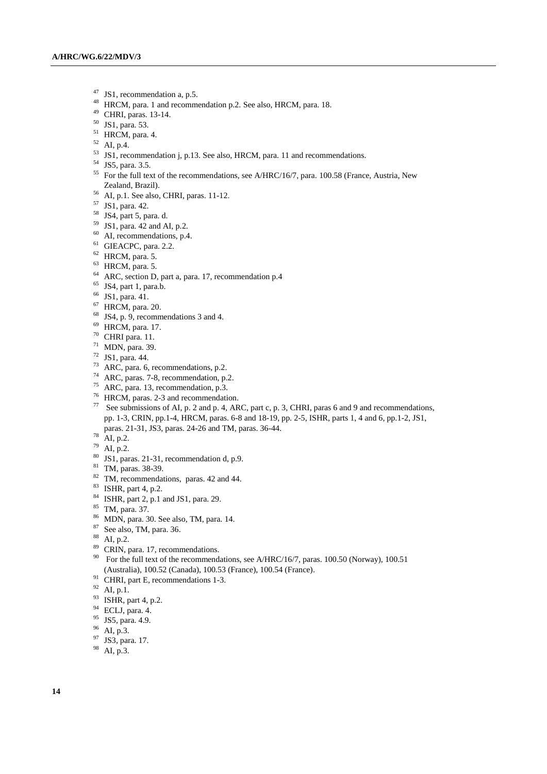- <sup>47</sup> JS1, recommendation a, p.5.<br><sup>48</sup> HPCM para 1 and recommended
- HRCM, para. 1 and recommendation p.2. See also, HRCM, para. 18.
- CHRI, paras. 13-14.
- JS1, para. 53.
- HRCM, para. 4.
- AI, p.4.
- <sup>53</sup> JS1, recommendation j, p.13. See also, HRCM, para. 11 and recommendations.
- JS5, para. 3.5.
- <sup>55</sup> For the full text of the recommendations, see A/HRC/16/7, para. 100.58 (France, Austria, New Zealand, Brazil).
- AI, p.1. See also, CHRI, paras. 11-12.
- JS1, para. 42.
- JS4, part 5, para. d.
- JS1, para. 42 and AI, p.2.
- <sup>60</sup> AI, recommendations, p.4.
- GIEACPC, para. 2.2.
- HRCM, para. 5.
- HRCM, para. 5.
- ARC, section D, part a, para. 17, recommendation p.4
- <sup>65</sup> JS4, part 1, para.b.
- JS1, para. 41.
- HRCM, para. 20.
- JS4, p. 9, recommendations 3 and 4.
- HRCM, para. 17.
- CHRI para. 11.
- MDN, para. 39.
- JS1, para. 44.
- ARC, para. 6, recommendations, p.2.
- ARC, paras. 7-8, recommendation, p.2.
- ARC, para. 13, recommendation, p.3.
- HRCM, paras. 2-3 and recommendation.
- See submissions of AI, p. 2 and p. 4, ARC, part c, p. 3, CHRI, paras 6 and 9 and recommendations, pp. 1-3, CRIN, pp.1-4, HRCM, paras. 6-8 and 18-19, pp. 2-5, ISHR, parts 1, 4 and 6, pp.1-2, JS1, paras. 21-31, JS3, paras. 24-26 and TM, paras. 36-44.
- $^{78}$  AI, p.2.
- AI, p.2.
- JS1, paras. 21-31, recommendation d, p.9.
- TM, paras. 38-39.
- <sup>82</sup> TM, recommendations, paras. 42 and 44.
- ISHR, part 4, p.2.
- ISHR, part 2, p.1 and JS1, para. 29.
- TM, para. 37.
- MDN, para. 30. See also, TM, para. 14.
- See also, TM, para. 36.
- AI, p.2.
- <sup>89</sup> CRIN, para. 17, recommendations.
- <sup>90</sup> For the full text of the recommendations, see A/HRC/16/7, paras. 100.50 (Norway), 100.51 (Australia), 100.52 (Canada), 100.53 (France), 100.54 (France).
- CHRI, part E, recommendations 1-3.
- AI, p.1.
- <sup>93</sup> ISHR, part 4, p.2.
- ECLJ, para. 4.
- $^{95}$  JS5, para. 4.9.
- AI, p.3.
- <sup>97</sup> JS3, para. 17.
- AI, p.3.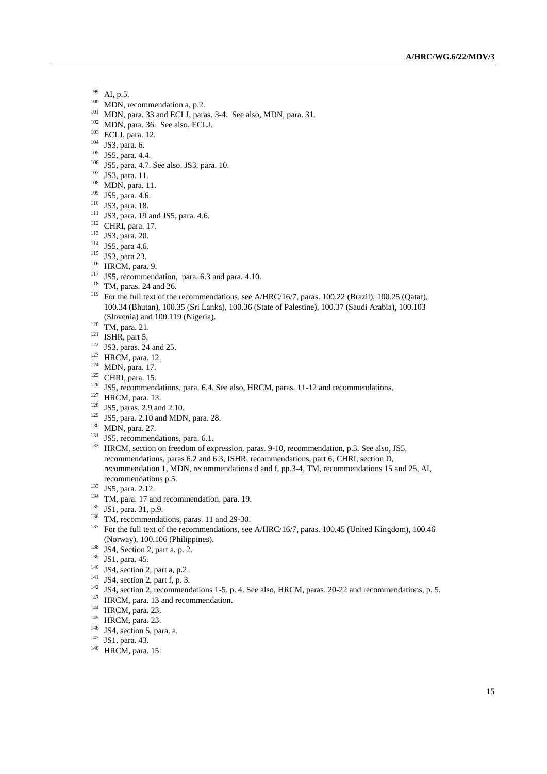- <sup>99</sup> AI, p.5.
- <sup>100</sup> MDN, recommendation a, p.2.
- <sup>101</sup> MDN, para. 33 and ECLJ, paras. 3-4. See also, MDN, para. 31.
- <sup>102</sup> MDN, para. 36. See also, ECLJ.
- <sup>103</sup> ECLJ, para. 12.
- $104$  JS3, para. 6.
- <sup>105</sup> JS5, para. 4.4.
- <sup>106</sup> JS5, para. 4.7. See also, JS3, para. 10.
- <sup>107</sup> JS3, para. 11.
- <sup>108</sup> MDN, para. 11.
- <sup>109</sup> JS5, para. 4.6.
- <sup>110</sup> JS3, para. 18.
- <sup>111</sup> JS3, para. 19 and JS5, para. 4.6.
- <sup>112</sup> CHRI, para. 17.
- <sup>113</sup> JS3, para. 20.
- <sup>114</sup> JS5, para 4.6.
- <sup>115</sup> JS3, para 23.
- <sup>116</sup> HRCM, para. 9.
- <sup>117</sup> JS5, recommendation, para. 6.3 and para. 4.10.
- <sup>118</sup> TM, paras. 24 and 26.
- <sup>119</sup> For the full text of the recommendations, see A/HRC/16/7, paras. 100.22 (Brazil), 100.25 (Qatar), 100.34 (Bhutan), 100.35 (Sri Lanka), 100.36 (State of Palestine), 100.37 (Saudi Arabia), 100.103 (Slovenia) and 100.119 (Nigeria).
- $120$  TM, para. 21.
- $121$  ISHR, part 5.
- <sup>122</sup> JS3, paras. 24 and 25.
- <sup>123</sup> HRCM, para. 12.
- <sup>124</sup> MDN, para. 17.
- <sup>125</sup> CHRI, para. 15.
- <sup>126</sup> JS5, recommendations, para. 6.4. See also, HRCM, paras. 11-12 and recommendations.
- $127$  HRCM, para. 13.
- <sup>128</sup> JS5, paras. 2.9 and 2.10.
- <sup>129</sup> JS5, para. 2.10 and MDN, para. 28.
- <sup>130</sup> MDN, para. 27.
- <sup>131</sup> JS5, recommendations, para. 6.1.
- <sup>132</sup> HRCM, section on freedom of expression, paras. 9-10, recommendation, p.3. See also, JS5, recommendations, paras 6.2 and 6.3, ISHR, recommendations, part 6, CHRI, section D, recommendation 1, MDN, recommendations d and f, pp.3-4, TM, recommendations 15 and 25, AI, recommendations p.5.
- <sup>133</sup> JS5, para. 2.12.
- <sup>134</sup> TM, para. 17 and recommendation, para. 19.
- <sup>135</sup> JS1, para. 31, p.9.
- <sup>136</sup> TM, recommendations, paras. 11 and 29-30.
- <sup>137</sup> For the full text of the recommendations, see A/HRC/16/7, paras. 100.45 (United Kingdom), 100.46 (Norway), 100.106 (Philippines).
- <sup>138</sup> JS4, Section 2, part a, p. 2.
- <sup>139</sup> JS1, para. 45.
- $140$  JS4, section 2, part a, p.2.
- $141$  JS4, section 2, part f, p. 3.
- <sup>142</sup> JS4, section 2, recommendations 1-5, p. 4. See also, HRCM, paras. 20-22 and recommendations, p. 5.
- <sup>143</sup> HRCM, para. 13 and recommendation.
- <sup>144</sup> HRCM, para. 23.
- <sup>145</sup> HRCM, para. 23.
- $146$  JS4, section 5, para. a.
- <sup>147</sup> JS1, para. 43.
- <sup>148</sup> HRCM, para. 15.